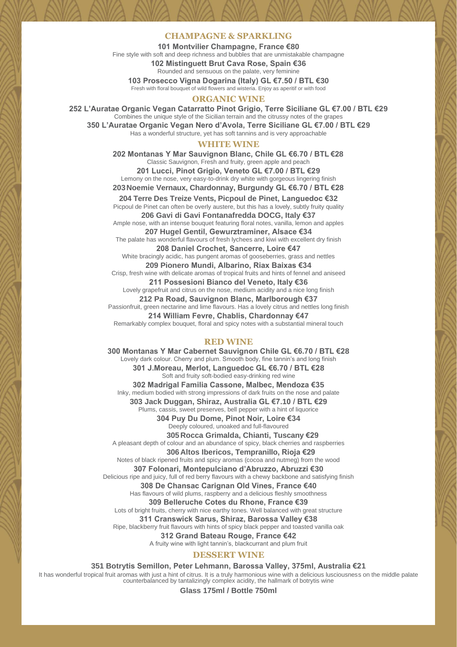#### **CHAMPAGNE & SPARKLING**

**101 Montvilier Champagne, France €80** Fine style with soft and deep richness and bubbles that are unmistakable champagne **102 Mistinguett Brut Cava Rose, Spain €36** Rounded and sensuous on the palate, very feminine **103 Prosecco Vigna Dogarina (Italy) GL €7.50 / BTL €30**

Fresh with floral bouquet of wild flowers and wisteria. Enjoy as aperitif or with food

# **ORGANIC WINE**

**252 L'Auratae Organic Vegan Catarratto Pinot Grigio, Terre Siciliane GL €7.00 / BTL €29** Combines the unique style of the Sicilian terrain and the citrussy notes of the grapes **350 L'Auratae Organic Vegan Nero d'Avola, Terre Siciliane GL €7.00 / BTL €29** Has a wonderful structure, yet has soft tannins and is very approachable

#### **WHITE WINE**

**202 Montanas Y Mar Sauvignon Blanc, Chile GL €6.70 / BTL €28** Classic Sauvignon, Fresh and fruity, green apple and peach **201 Lucci, Pinot Grigio, Veneto GL €7.00 / BTL €29** Lemony on the nose, very easy-to-drink dry white with gorgeous lingering finish **203Noemie Vernaux, Chardonnay, Burgundy GL €6.70 / BTL €28**

**204 Terre Des Treize Vents, Picpoul de Pinet, Languedoc €32** Picpoul de Pinet can often be overly austere, but this has a lovely, subtly fruity quality **206 Gavi di Gavi Fontanafredda DOCG, Italy €37** Ample nose, with an intense bouquet featuring floral notes, vanilla, lemon and apples **207 Hugel Gentil, Gewurztraminer, Alsace €34** The palate has wonderful flavours of fresh lychees and kiwi with excellent dry finish **208 Daniel Crochet, Sancerre, Loire €47** White bracingly acidic, has pungent aromas of gooseberries, grass and nettles **209 Pionero Mundi, Albarino, Riax Baixas €34** Crisp, fresh wine with delicate aromas of tropical fruits and hints of fennel and aniseed **211 Possesioni Bianco del Veneto, Italy €36** Lovely grapefruit and citrus on the nose, medium acidity and a nice long finish **212 Pa Road, Sauvignon Blanc, Marlborough €37** Passionfruit, green nectarine and lime flavours. Has a lovely citrus and nettles long finish **214 William Fevre, Chablis, Chardonnay €47** Remarkably complex bouquet, floral and spicy notes with a substantial mineral touch

#### **RED WINE**

**300 Montanas Y Mar Cabernet Sauvignon Chile GL €6.70 / BTL €28** Lovely dark colour. Cherry and plum. Smooth body, fine tannin's and long finish **301 J.Moreau, Merlot, Languedoc GL €6.70 / BTL €28** Soft and fruity soft-bodied easy-drinking red wine **302 Madrigal Familia Cassone, Malbec, Mendoza €35** Inky, medium bodied with strong impressions of dark fruits on the nose and palate **303 Jack Duggan, Shiraz, Australia GL €7.10 / BTL €29** Plums, cassis, sweet preserves, bell pepper with a hint of liquorice **304 Puy Du Dome, Pinot Noir, Loire €34** Deeply coloured, unoaked and full-flavoured **305Rocca Grimalda, Chianti, Tuscany €29** A pleasant depth of colour and an abundance of spicy, black cherries and raspberries **306Altos Ibericos, Tempranillo, Rioja €29** Notes of black ripened fruits and spicy aromas (cocoa and nutmeg) from the wood **307 Folonari, Montepulciano d'Abruzzo, Abruzzi €30** Delicious ripe and juicy, full of red berry flavours with a chewy backbone and satisfying finish **308 De Chansac Carignan Old Vines, France €40** Has flavours of wild plums, raspberry and a delicious fleshly smoothness **309 Belleruche Cotes du Rhone, France €39** Lots of bright fruits, cherry with nice earthy tones. Well balanced with great structure **311 Cranswick Sarus, Shiraz, Barossa Valley €38** Ripe, blackberry fruit flavours with hints of spicy black pepper and toasted vanilla oak **312 Grand Bateau Rouge, France €42** A fruity wine with light tannin's, blackcurrant and plum fruit

# **DESSERT WINE**

**351 Botrytis Semillon, Peter Lehmann, Barossa Valley, 375ml, Australia €21**

It has wonderful tropical fruit aromas with just a hint of citrus. It is a truly harmonious wine with a delicious lusciousness on the middle palate<br>counterbalanced by tantalizingly complex acidity, the hallmark of botrytis

**Glass 175ml / Bottle 750ml**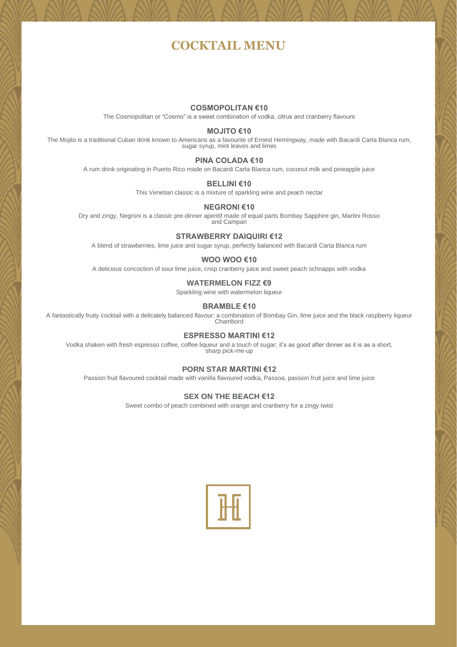# **COCKTAIL MENU**

### **COSMOPOLITAN €10**

The Cosmopolitan or "Cosmo" is a sweet combination of vodka, citrus and cranberry flavours

#### **MOJITO €10**

The Mojito is a traditional Cuban drink known to Americans as a favourite of Ernest Hemingway, made with Bacardi Carta Blanca rum, sugar syrup, mint leaves and limes

#### **PINA COLADA €10**

A rum drink originating in Puerto Rico made on Bacardi Carta Blanca rum, coconut milk and pineapple juice

# **BELLINI €10**

This Venetian classic is a mixture of sparkling wine and peach nectar

# **NEGRONI €10**

Dry and zingy, Negroni is a classic pre-dinner aperitif made of equal parts Bombay Sapphire gin, Martini Rosso and Campari

#### **STRAWBERRY DAIQUIRI €12**

A blend of strawberries, lime juice and sugar syrup, perfectly balanced with Bacardi Carta Blanca rum

# **WOO WOO €10**

A delicious concoction of sour lime juice, crisp cranberry juice and sweet peach schnapps with vodka

# **WATERMELON FIZZ €9**

Sparkling wine with watermelon liqueur

# **BRAMBLE €10**

A fantastically fruity cocktail with a delicately balanced flavour; a combination of Bombay Gin, lime juice and the black raspberry liqueur Chambord

# **ESPRESSO MARTINI €12**

Vodka shaken with fresh espresso coffee, coffee liqueur and a touch of sugar; it's as good after dinner as it is as a short, sharp pick-me-up

# **PORN STAR MARTINI €12**

Passion fruit flavoured cocktail made with vanilla flavoured vodka, Passoa, passion fruit juice and lime juice

#### **SEX ON THE BEACH €12**

Sweet combo of peach combined with orange and cranberry for a zingy twist

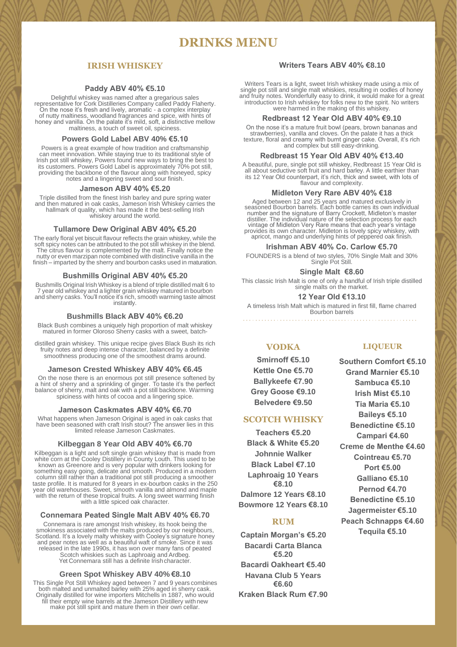# **DRINKS MENU**

# **IRISH WHISKEY**

## **Paddy ABV 40% €5.10**

Delightful whiskey was named after a gregarious sales representative for Cork Distilleries Company called Paddy Flaherty. On the nose it's fresh and lively, aromatic - a complex interplay of nutty maltiness, woodland fragrances and spice, with hints of honey and vanilla. On the palate it's mild, soft, a distinctive mellow maltiness, a touch of sweet oil, spiciness.

#### **Powers Gold Label ABV 40% €5.10**

Powers is a great example of how tradition and craftsmanship can meet innovation. While staying true to its traditional style of Irish pot still whiskey, Powers found new ways to bring the best to its customers. Powers Gold Label is approximately 70% pot still, providing the backbone of the flavour along with honeyed, spicy notes and a lingering sweet and sour finish.

#### **Jameson ABV 40% €5.20**

Triple distilled from the finest Irish barley and pure spring water and then matured in oak casks, Jameson Irish Whiskey carries the hallmark of quality, which has made it the best-selling Irish whiskey around the world.

#### **Tullamore Dew Original ABV 40% €5.20**

The early floral yet biscuit flavour reflects the grain whiskey, while the soft spicy notes can be attributed to the pot still whiskey in the blend. The citrus flavour is complemented by the malt. Finally notice the nutty or even marzipan note combined with distinctive vanilla in the finish – imparted by the sherry and bourbon casks used in maturation.

#### **Bushmills Original ABV 40% €5.20**

Bushmills Original Irish Whiskey is a blend of triple distilled malt 6 to 7 year old whiskey and a lighter grain whiskey matured in bourbon and sherry casks. You'll notice it's rich, smooth warming taste almost instantly.

#### **Bushmills Black ABV 40% €6.20**

Black Bush combines a uniquely high proportion of malt whiskey matured in former Oloroso Sherry casks with a sweet, batch-

distilled grain whiskey. This unique recipe gives Black Bush its rich fruity notes and deep intense character, balanced by a definite smoothness producing one of the smoothest drams around.

#### **Jameson Crested Whiskey ABV 40% €6.45**

On the nose there is an enormous pot still presence softened by a hint of sherry and a sprinkling of ginger. To taste it's the perfect balance of sherry, malt and oak with a pot still backbone. Warming spiciness with hints of cocoa and a lingering spice.

#### **Jameson Caskmates ABV 40% €6.70**

What happens when Jameson Original is aged in oak casks that have been seasoned with craft Irish stout? The answer lies in this limited release Jameson Caskmates.

### **Kilbeggan 8 Year Old ABV 40% €6.70**

Kilbeggan is a light and soft single grain whiskey that is made from white corn at the Cooley Distillery in County Louth. This used to be known as Greenore and is very popular with drinkers looking for something easy going, delicate and smooth. Produced in a modern column still rather than a traditional pot still producing a smoother taste profile. It is matured for 8 years in ex-bourbon casks in the 250 year old warehouses. Sweet, smooth vanilla and almond and maple with the return of these tropical fruits. A long sweet warming finish with a little spiced oak character.

# **Connemara Peated Single Malt ABV 40% €6.70**

Connemara is rare amongst Irish whiskey, its hook being the smokiness associated with the malts produced by our neighbours, Scotland. It's a lovely malty whiskey with Cooley's signature honey and pear notes as well as a beautiful waft of smoke. Since it was released in the late 1990s, it has won over many fans of peated Scotch whiskies such as Laphroaig and Ardbeg. Yet Connemara still has a definite Irishcharacter.

### **Green Spot Whiskey ABV 40% €8.10**

This Single Pot Still Whiskey aged between 7 and 9 years combines both malted and unmalted barley with 25% aged in sherry cask. Originally distilled for wine importers Mitchells in 1887, who would fill their empty wine barrels at the Jameson Distillery with new make pot still spirit and mature them in their own cellar.

# **Writers Tears ABV 40% €8.10**

Writers Tears is a light, sweet Irish whiskey made using a mix of single pot still and single malt whiskies, resulting in oodles of honey and fruity notes. Wonderfully easy to drink, it would make for a great introduction to Irish whiskey for folks new to the spirit. No writers were harmed in the making of this whiskey.

#### **Redbreast 12 Year Old ABV 40% €9.10**

On the nose it's a mature fruit bowl (pears, brown bananas and strawberries), vanilla and cloves. On the palate it has a thick texture, floral and creamy with burnt ginger cake. Overall, it's rich and complex but still easy-drinking.

### **Redbreast 15 Year Old ABV 40% €13.40**

A beautiful, pure, single pot still whiskey, Redbreast 15 Year Old is all about seductive soft fruit and hard barley. A little earthier than its 12 Year Old counterpart, it's rich, thick and sweet, with lots of flavour and complexity.

#### **Midleton Very Rare ABV 40% €18**

Aged between 12 and 25 years and matured exclusively in seasoned Bourbon barrels. Each bottle carries its own individual number and the signature of Barry Crockett, Midleton's master distiller. The individual nature of the selection process for each vintage of Midleton Very Rare means that each year's vintage provides its own character. Midleton is lovely spicy whiskey, with apricot, mango and underlying hints of peppered oak finish.

#### **Irishman ABV 40% Co. Carlow €5.70**

FOUNDERS is a blend of two styles, 70% Single Malt and 30% Single Pot Still.

#### **Single Malt €8.60**

This classic Irish Malt is one of only a handful of Irish triple distilled single malts on the market.

#### **12 Year Old €13.10**

A timeless Irish Malt which is matured in first fill, flame charred

Bourbon barrels 

# **VODKA**

**Smirnoff €5.10 Kettle One €5.70 Ballykeefe €7.90 Grey Goose €9.10 Belvedere €9.50**

## **SCOTCH WHISKY**

**Teachers €5.20 Black & White €5.20 Johnnie Walker Black Label €7.10 Laphroaig 10 Years €8.10 Dalmore 12 Years €8.10 Bowmore 12 Years €8.10**

### **RUM**

**Captain Morgan's €5.20 Bacardi Carta Blanca €5.20 Bacardi Oakheart €5.40 Havana Club 5 Years €6.60 Kraken Black Rum €7.90**

#### **LIQUEUR**

**Southern Comfort €5.10 Grand Marnier €5.10 Sambuca €5.10 Irish Mist €5.10 Tia Maria €5.10 Baileys €5.10 Benedictine €5.10 Campari €4.60 Creme de Menthe €4.60 Cointreau €5.70 Port €5.00 Galliano €5.10 Pernod €4.70 Benedictine €5.10 Jagermeister €5.10 Peach Schnapps €4.60 Tequila €5.10**